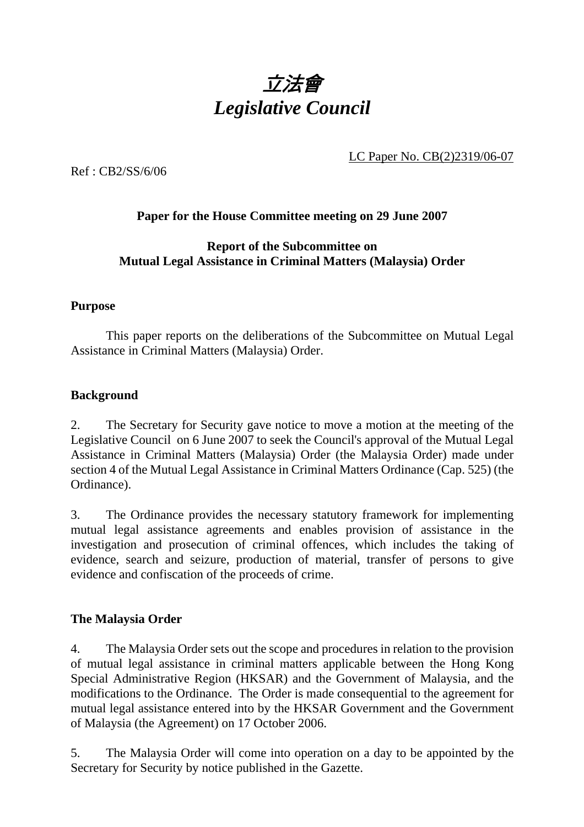

LC Paper No. CB(2)2319/06-07

Ref : CB2/SS/6/06

# **Paper for the House Committee meeting on 29 June 2007**

## **Report of the Subcommittee on Mutual Legal Assistance in Criminal Matters (Malaysia) Order**

### **Purpose**

1 This paper reports on the deliberations of the Subcommittee on Mutual Legal Assistance in Criminal Matters (Malaysia) Order.

### **Background**

2. The Secretary for Security gave notice to move a motion at the meeting of the Legislative Council on 6 June 2007 to seek the Council's approval of the Mutual Legal Assistance in Criminal Matters (Malaysia) Order (the Malaysia Order) made under section 4 of the Mutual Legal Assistance in Criminal Matters Ordinance (Cap. 525) (the Ordinance).

3. The Ordinance provides the necessary statutory framework for implementing mutual legal assistance agreements and enables provision of assistance in the investigation and prosecution of criminal offences, which includes the taking of evidence, search and seizure, production of material, transfer of persons to give evidence and confiscation of the proceeds of crime.

# **The Malaysia Order**

4. The Malaysia Order sets out the scope and procedures in relation to the provision of mutual legal assistance in criminal matters applicable between the Hong Kong Special Administrative Region (HKSAR) and the Government of Malaysia, and the modifications to the Ordinance. The Order is made consequential to the agreement for mutual legal assistance entered into by the HKSAR Government and the Government of Malaysia (the Agreement) on 17 October 2006.

5. The Malaysia Order will come into operation on a day to be appointed by the Secretary for Security by notice published in the Gazette.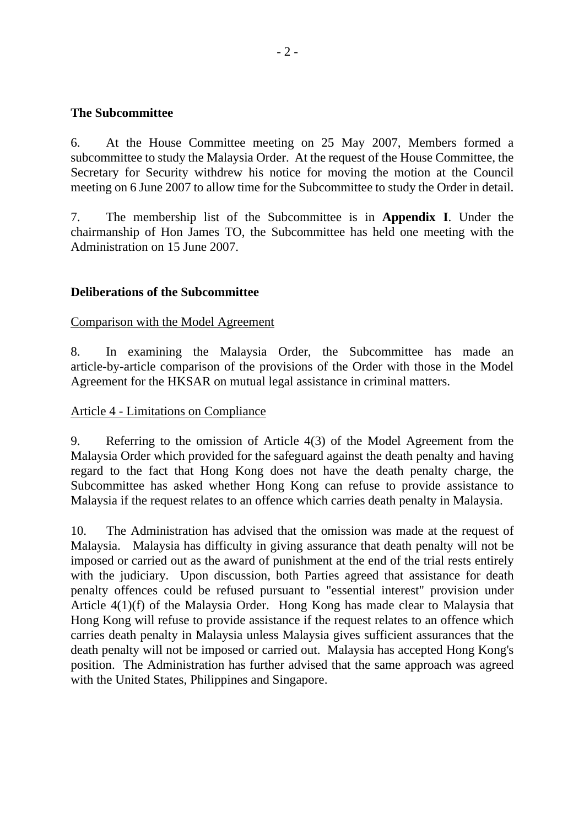### **The Subcommittee**

6. At the House Committee meeting on 25 May 2007, Members formed a subcommittee to study the Malaysia Order. At the request of the House Committee, the Secretary for Security withdrew his notice for moving the motion at the Council meeting on 6 June 2007 to allow time for the Subcommittee to study the Order in detail.

7. The membership list of the Subcommittee is in **Appendix I**. Under the chairmanship of Hon James TO, the Subcommittee has held one meeting with the Administration on 15 June 2007.

# **Deliberations of the Subcommittee**

#### Comparison with the Model Agreement

8. In examining the Malaysia Order, the Subcommittee has made an article-by-article comparison of the provisions of the Order with those in the Model Agreement for the HKSAR on mutual legal assistance in criminal matters.

#### Article 4 - Limitations on Compliance

9. Referring to the omission of Article 4(3) of the Model Agreement from the Malaysia Order which provided for the safeguard against the death penalty and having regard to the fact that Hong Kong does not have the death penalty charge, the Subcommittee has asked whether Hong Kong can refuse to provide assistance to Malaysia if the request relates to an offence which carries death penalty in Malaysia.

10. The Administration has advised that the omission was made at the request of Malaysia. Malaysia has difficulty in giving assurance that death penalty will not be imposed or carried out as the award of punishment at the end of the trial rests entirely with the judiciary. Upon discussion, both Parties agreed that assistance for death penalty offences could be refused pursuant to "essential interest" provision under Article 4(1)(f) of the Malaysia Order. Hong Kong has made clear to Malaysia that Hong Kong will refuse to provide assistance if the request relates to an offence which carries death penalty in Malaysia unless Malaysia gives sufficient assurances that the death penalty will not be imposed or carried out. Malaysia has accepted Hong Kong's position. The Administration has further advised that the same approach was agreed with the United States, Philippines and Singapore.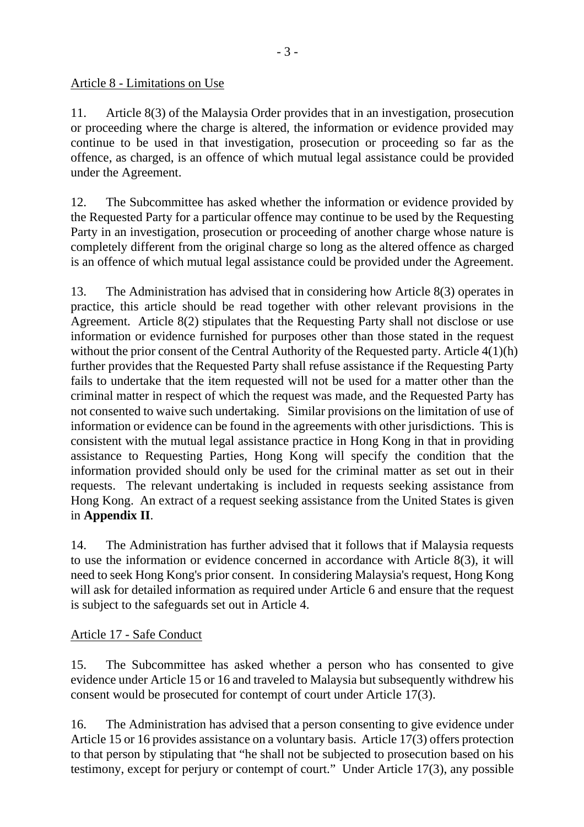# Article 8 - Limitations on Use

11. Article 8(3) of the Malaysia Order provides that in an investigation, prosecution or proceeding where the charge is altered, the information or evidence provided may continue to be used in that investigation, prosecution or proceeding so far as the offence, as charged, is an offence of which mutual legal assistance could be provided under the Agreement.

12. The Subcommittee has asked whether the information or evidence provided by the Requested Party for a particular offence may continue to be used by the Requesting Party in an investigation, prosecution or proceeding of another charge whose nature is completely different from the original charge so long as the altered offence as charged is an offence of which mutual legal assistance could be provided under the Agreement.

13. The Administration has advised that in considering how Article 8(3) operates in practice, this article should be read together with other relevant provisions in the Agreement. Article 8(2) stipulates that the Requesting Party shall not disclose or use information or evidence furnished for purposes other than those stated in the request without the prior consent of the Central Authority of the Requested party. Article 4(1)(h) further provides that the Requested Party shall refuse assistance if the Requesting Party fails to undertake that the item requested will not be used for a matter other than the criminal matter in respect of which the request was made, and the Requested Party has not consented to waive such undertaking. Similar provisions on the limitation of use of information or evidence can be found in the agreements with other jurisdictions. This is consistent with the mutual legal assistance practice in Hong Kong in that in providing assistance to Requesting Parties, Hong Kong will specify the condition that the information provided should only be used for the criminal matter as set out in their requests. The relevant undertaking is included in requests seeking assistance from Hong Kong. An extract of a request seeking assistance from the United States is given in **Appendix II**.

14. The Administration has further advised that it follows that if Malaysia requests to use the information or evidence concerned in accordance with Article 8(3), it will need to seek Hong Kong's prior consent. In considering Malaysia's request, Hong Kong will ask for detailed information as required under Article 6 and ensure that the request is subject to the safeguards set out in Article 4.

# Article 17 - Safe Conduct

15. The Subcommittee has asked whether a person who has consented to give evidence under Article 15 or 16 and traveled to Malaysia but subsequently withdrew his consent would be prosecuted for contempt of court under Article 17(3).

16. The Administration has advised that a person consenting to give evidence under Article 15 or 16 provides assistance on a voluntary basis. Article 17(3) offers protection to that person by stipulating that "he shall not be subjected to prosecution based on his testimony, except for perjury or contempt of court." Under Article 17(3), any possible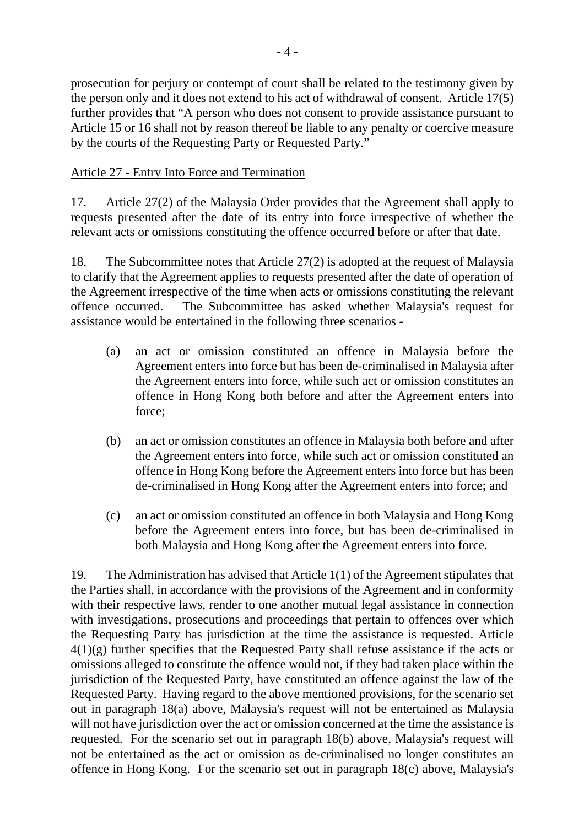prosecution for perjury or contempt of court shall be related to the testimony given by the person only and it does not extend to his act of withdrawal of consent. Article 17(5) further provides that "A person who does not consent to provide assistance pursuant to Article 15 or 16 shall not by reason thereof be liable to any penalty or coercive measure by the courts of the Requesting Party or Requested Party."

# Article 27 - Entry Into Force and Termination

17. Article 27(2) of the Malaysia Order provides that the Agreement shall apply to requests presented after the date of its entry into force irrespective of whether the relevant acts or omissions constituting the offence occurred before or after that date.

18. The Subcommittee notes that Article 27(2) is adopted at the request of Malaysia to clarify that the Agreement applies to requests presented after the date of operation of the Agreement irrespective of the time when acts or omissions constituting the relevant offence occurred. The Subcommittee has asked whether Malaysia's request for assistance would be entertained in the following three scenarios -

- (a) an act or omission constituted an offence in Malaysia before the Agreement enters into force but has been de-criminalised in Malaysia after the Agreement enters into force, while such act or omission constitutes an offence in Hong Kong both before and after the Agreement enters into force;
- (b) an act or omission constitutes an offence in Malaysia both before and after the Agreement enters into force, while such act or omission constituted an offence in Hong Kong before the Agreement enters into force but has been de-criminalised in Hong Kong after the Agreement enters into force; and
- (c) an act or omission constituted an offence in both Malaysia and Hong Kong before the Agreement enters into force, but has been de-criminalised in both Malaysia and Hong Kong after the Agreement enters into force.

19. The Administration has advised that Article 1(1) of the Agreement stipulates that the Parties shall, in accordance with the provisions of the Agreement and in conformity with their respective laws, render to one another mutual legal assistance in connection with investigations, prosecutions and proceedings that pertain to offences over which the Requesting Party has jurisdiction at the time the assistance is requested. Article  $4(1)(g)$  further specifies that the Requested Party shall refuse assistance if the acts or omissions alleged to constitute the offence would not, if they had taken place within the jurisdiction of the Requested Party, have constituted an offence against the law of the Requested Party. Having regard to the above mentioned provisions, for the scenario set out in paragraph 18(a) above, Malaysia's request will not be entertained as Malaysia will not have jurisdiction over the act or omission concerned at the time the assistance is requested. For the scenario set out in paragraph 18(b) above, Malaysia's request will not be entertained as the act or omission as de-criminalised no longer constitutes an offence in Hong Kong. For the scenario set out in paragraph 18(c) above, Malaysia's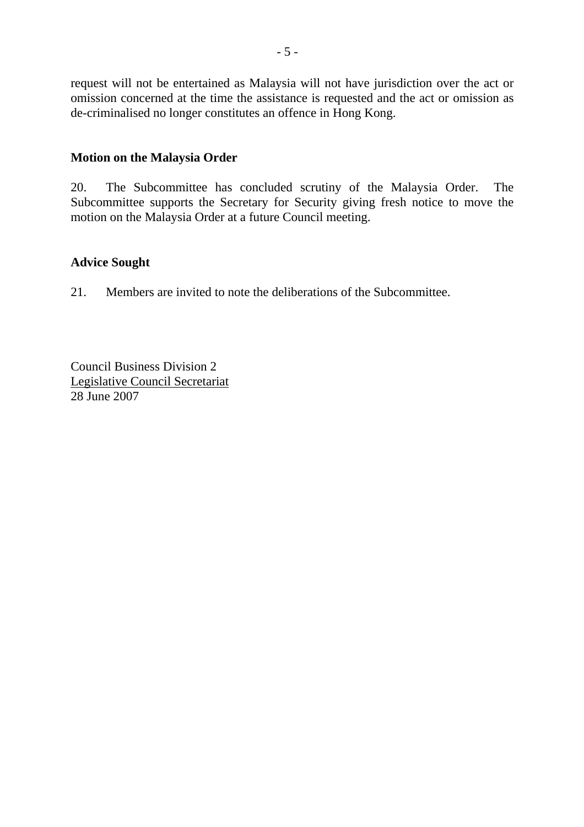request will not be entertained as Malaysia will not have jurisdiction over the act or omission concerned at the time the assistance is requested and the act or omission as de-criminalised no longer constitutes an offence in Hong Kong.

# **Motion on the Malaysia Order**

20. The Subcommittee has concluded scrutiny of the Malaysia Order. The Subcommittee supports the Secretary for Security giving fresh notice to move the motion on the Malaysia Order at a future Council meeting.

# **Advice Sought**

21. Members are invited to note the deliberations of the Subcommittee.

Council Business Division 2 Legislative Council Secretariat 28 June 2007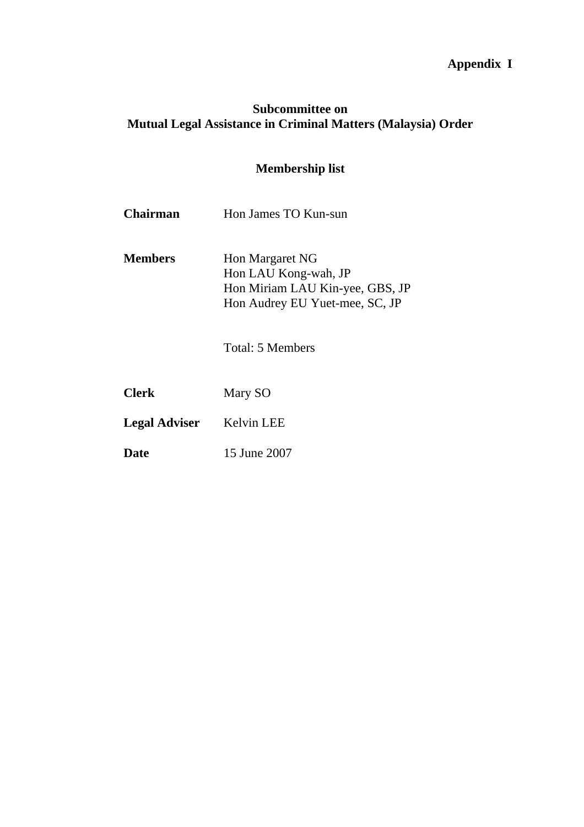# **Appendix I**

# **Subcommittee on Mutual Legal Assistance in Criminal Matters (Malaysia) Order**

# **Membership list**

| Chairman       | Hon James TO Kun-sun                                                                                         |
|----------------|--------------------------------------------------------------------------------------------------------------|
| <b>Members</b> | Hon Margaret NG<br>Hon LAU Kong-wah, JP<br>Hon Miriam LAU Kin-yee, GBS, JP<br>Hon Audrey EU Yuet-mee, SC, JP |
|                |                                                                                                              |

Total: 5 Members

**Legal Adviser** Kelvin LEE

**Date** 15 June 2007